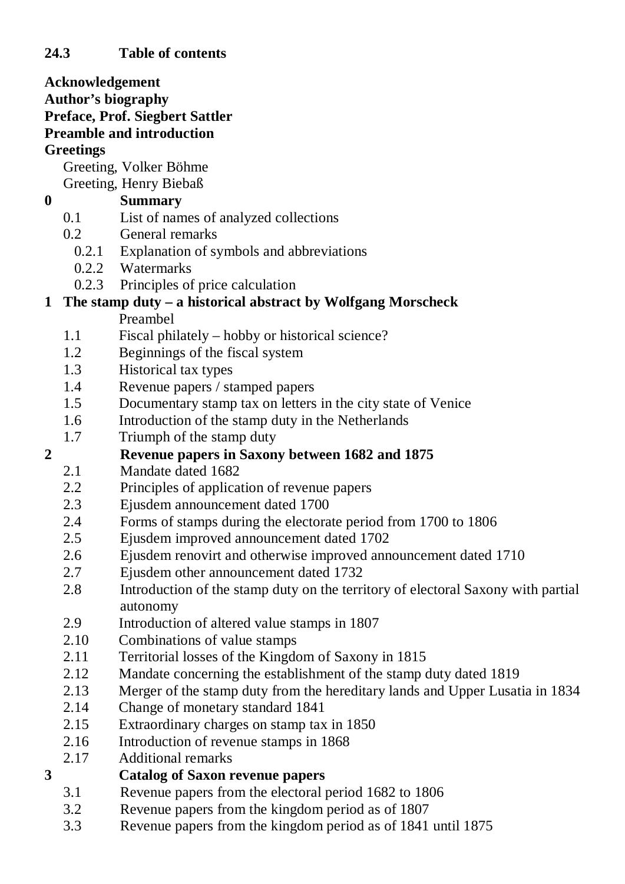**Acknowledgement Author's biography Preface, Prof. Siegbert Sattler Preamble and introduction Greetings** Greeting, Volker Böhme Greeting, Henry Biebaß **0 Summary** 0.1 List of names of analyzed collections 0.2 General remarks 0.2.1 Explanation of symbols and abbreviations 0.2.2 Watermarks 0.2.3 Principles of price calculation **1 The stamp duty – a historical abstract by Wolfgang Morscheck** Preambel 1.1 Fiscal philately – hobby or historical science? 1.2 Beginnings of the fiscal system 1.3 Historical tax types 1.4 Revenue papers / stamped papers 1.5 Documentary stamp tax on letters in the city state of Venice 1.6 Introduction of the stamp duty in the Netherlands 1.7 Triumph of the stamp duty **2 Revenue papers in Saxony between 1682 and 1875** 2.1 Mandate dated 1682 2.2 Principles of application of revenue papers 2.3 Ejusdem announcement dated 1700 2.4 Forms of stamps during the electorate period from 1700 to 1806 2.5 Ejusdem improved announcement dated 1702 2.6 Ejusdem renovirt and otherwise improved announcement dated 1710 2.7 Ejusdem other announcement dated 1732 2.8 Introduction of the stamp duty on the territory of electoral Saxony with partial autonomy 2.9 Introduction of altered value stamps in 1807 2.10 Combinations of value stamps 2.11 Territorial losses of the Kingdom of Saxony in 1815 2.12 Mandate concerning the establishment of the stamp duty dated 1819

- 
- 2.13 Merger of the stamp duty from the hereditary lands and Upper Lusatia in 1834
- 2.14 Change of monetary standard 1841
- 2.15 Extraordinary charges on stamp tax in 1850
- 2.16 Introduction of revenue stamps in 1868
- 2.17 Additional remarks

#### **3 Catalog of Saxon revenue papers**

- 3.1 Revenue papers from the electoral period 1682 to 1806
- 3.2 Revenue papers from the kingdom period as of 1807
- 3.3 Revenue papers from the kingdom period as of 1841 until 1875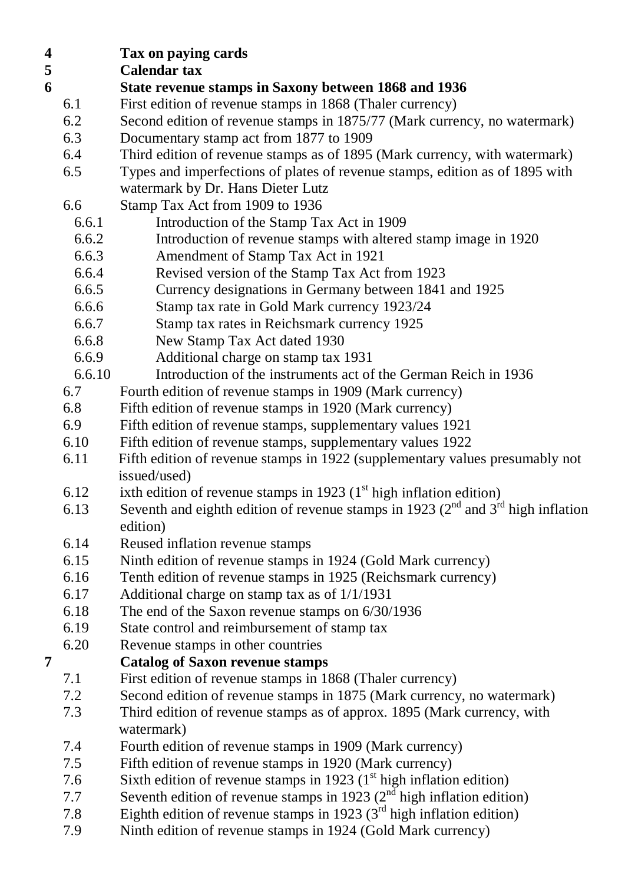**4 Tax on paying cards**

#### **5 Calendar tax**

- **6 State revenue stamps in Saxony between 1868 and 1936**
	- 6.1 First edition of revenue stamps in 1868 (Thaler currency)
	- 6.2 Second edition of revenue stamps in 1875/77 (Mark currency, no watermark)
	- 6.3 Documentary stamp act from 1877 to 1909
	- 6.4 Third edition of revenue stamps as of 1895 (Mark currency, with watermark)
	- 6.5 Types and imperfections of plates of revenue stamps, edition as of 1895 with watermark by Dr. Hans Dieter Lutz
	- 6.6 Stamp Tax Act from 1909 to 1936
		- 6.6.1 Introduction of the Stamp Tax Act in 1909
		- 6.6.2 Introduction of revenue stamps with altered stamp image in 1920
		- 6.6.3 Amendment of Stamp Tax Act in 1921
		- 6.6.4 Revised version of the Stamp Tax Act from 1923
		- 6.6.5 Currency designations in Germany between 1841 and 1925
		- 6.6.6 Stamp tax rate in Gold Mark currency 1923/24
		- 6.6.7 Stamp tax rates in Reichsmark currency 1925
		- 6.6.8 New Stamp Tax Act dated 1930
		- 6.6.9 Additional charge on stamp tax 1931
		- 6.6.10 Introduction of the instruments act of the German Reich in 1936
	- 6.7 Fourth edition of revenue stamps in 1909 (Mark currency)
	- 6.8 Fifth edition of revenue stamps in 1920 (Mark currency)
	- 6.9 Fifth edition of revenue stamps, supplementary values 1921
	- 6.10 Fifth edition of revenue stamps, supplementary values 1922
	- 6.11 Fifth edition of revenue stamps in 1922 (supplementary values presumably not issued/used)
	- 6.12 ixth edition of revenue stamps in 1923  $(1<sup>st</sup> high inflation edition)$
	- 6.13 Seventh and eighth edition of revenue stamps in 1923 ( $2^{nd}$  and  $3^{rd}$  high inflation edition)
	- 6.14 Reused inflation revenue stamps
	- 6.15 Ninth edition of revenue stamps in 1924 (Gold Mark currency)
	- 6.16 Tenth edition of revenue stamps in 1925 (Reichsmark currency)
	- 6.17 Additional charge on stamp tax as of 1/1/1931
	- 6.18 The end of the Saxon revenue stamps on 6/30/1936
	- 6.19 State control and reimbursement of stamp tax
	- 6.20 Revenue stamps in other countries

### **7 Catalog of Saxon revenue stamps**

- 7.1 First edition of revenue stamps in 1868 (Thaler currency)
- 7.2 Second edition of revenue stamps in 1875 (Mark currency, no watermark)
- 7.3 Third edition of revenue stamps as of approx. 1895 (Mark currency, with watermark)
- 7.4 Fourth edition of revenue stamps in 1909 (Mark currency)
- 7.5 Fifth edition of revenue stamps in 1920 (Mark currency)
- 7.6 Sixth edition of revenue stamps in 1923  $(1<sup>st</sup> high inflation edition)$
- 7.7 Seventh edition of revenue stamps in 1923 ( $2<sup>nd</sup>$  high inflation edition)
	- 7.8 Eighth edition of revenue stamps in 1923  $(3<sup>rd</sup>$  high inflation edition)
	- 7.9 Ninth edition of revenue stamps in 1924 (Gold Mark currency)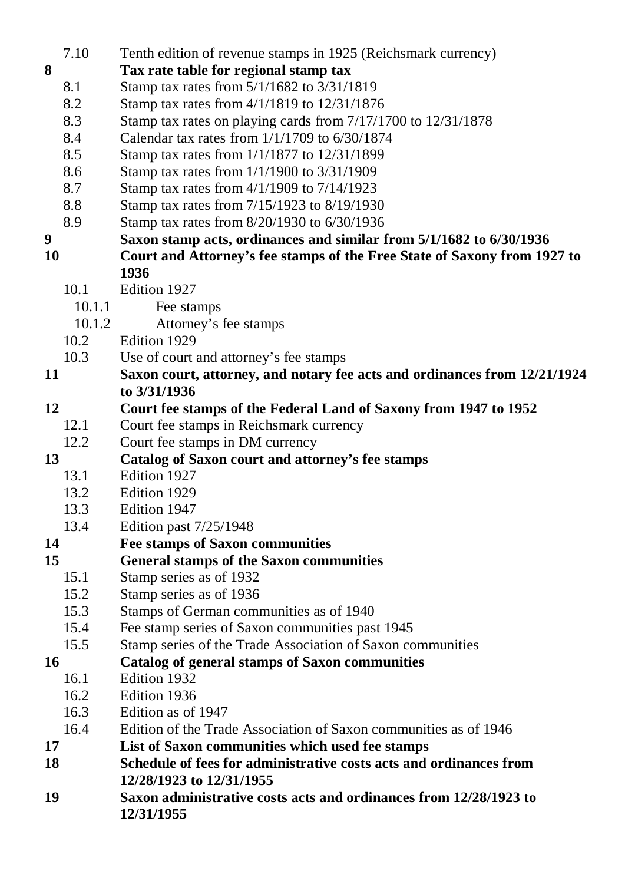|    | 7.10   | Tenth edition of revenue stamps in 1925 (Reichsmark currency)             |
|----|--------|---------------------------------------------------------------------------|
| 8  |        | Tax rate table for regional stamp tax                                     |
|    | 8.1    | Stamp tax rates from 5/1/1682 to 3/31/1819                                |
|    | 8.2    | Stamp tax rates from 4/1/1819 to 12/31/1876                               |
|    | 8.3    | Stamp tax rates on playing cards from 7/17/1700 to 12/31/1878             |
|    | 8.4    | Calendar tax rates from $1/1/1709$ to $6/30/1874$                         |
|    | 8.5    | Stamp tax rates from 1/1/1877 to 12/31/1899                               |
|    | 8.6    | Stamp tax rates from 1/1/1900 to 3/31/1909                                |
|    | 8.7    | Stamp tax rates from 4/1/1909 to 7/14/1923                                |
|    | 8.8    | Stamp tax rates from 7/15/1923 to 8/19/1930                               |
|    | 8.9    | Stamp tax rates from 8/20/1930 to 6/30/1936                               |
| 9  |        | Saxon stamp acts, ordinances and similar from 5/1/1682 to 6/30/1936       |
| 10 |        | Court and Attorney's fee stamps of the Free State of Saxony from 1927 to  |
|    |        | 1936                                                                      |
|    | 10.1   | Edition 1927                                                              |
|    | 10.1.1 | Fee stamps                                                                |
|    | 10.1.2 | Attorney's fee stamps                                                     |
|    | 10.2   | Edition 1929                                                              |
|    | 10.3   | Use of court and attorney's fee stamps                                    |
| 11 |        | Saxon court, attorney, and notary fee acts and ordinances from 12/21/1924 |
|    |        | to 3/31/1936                                                              |
| 12 |        | Court fee stamps of the Federal Land of Saxony from 1947 to 1952          |
|    | 12.1   | Court fee stamps in Reichsmark currency                                   |
|    | 12.2   | Court fee stamps in DM currency                                           |
| 13 |        | Catalog of Saxon court and attorney's fee stamps                          |
|    | 13.1   | Edition 1927                                                              |
|    | 13.2   | Edition 1929                                                              |
|    | 13.3   | Edition 1947                                                              |
|    | 13.4   | Edition past 7/25/1948                                                    |
| 14 |        | <b>Fee stamps of Saxon communities</b>                                    |
| 15 |        | <b>General stamps of the Saxon communities</b>                            |
|    | 15.1   | Stamp series as of 1932                                                   |
|    | 15.2   | Stamp series as of 1936                                                   |
|    | 15.3   | Stamps of German communities as of 1940                                   |
|    | 15.4   | Fee stamp series of Saxon communities past 1945                           |
|    | 15.5   | Stamp series of the Trade Association of Saxon communities                |
| 16 |        | <b>Catalog of general stamps of Saxon communities</b>                     |
|    | 16.1   | Edition 1932                                                              |
|    | 16.2   | Edition 1936                                                              |
|    | 16.3   | Edition as of 1947                                                        |
|    | 16.4   | Edition of the Trade Association of Saxon communities as of 1946          |
| 17 |        | List of Saxon communities which used fee stamps                           |
| 18 |        | Schedule of fees for administrative costs acts and ordinances from        |
|    |        | 12/28/1923 to 12/31/1955                                                  |
| 19 |        | Saxon administrative costs acts and ordinances from 12/28/1923 to         |
|    |        | 12/31/1955                                                                |